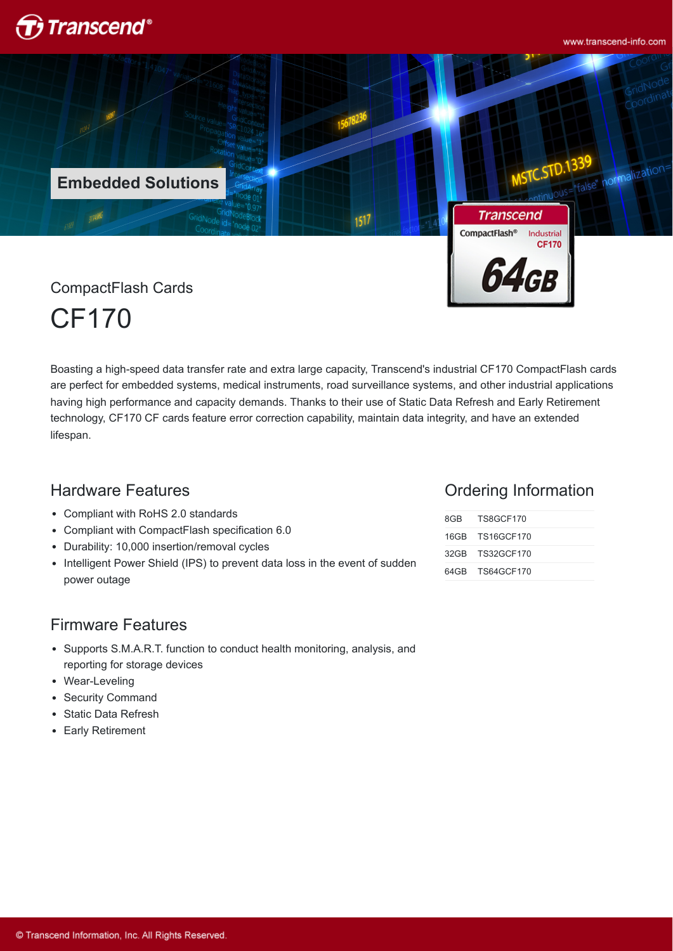

www.transcend-info.com



CF170

Boasting a high-speed data transfer rate and extra large capacity, Transcend's industrial CF170 CompactFlash cards are perfect for embedded systems, medical instruments, road surveillance systems, and other industrial applications having high performance and capacity demands. Thanks to their use of Static Data Refresh and Early Retirement technology, CF170 CF cards feature error correction capability, maintain data integrity, and have an extended lifespan.

## Hardware Features

- Compliant with RoHS 2.0 standards
- Compliant with CompactFlash specification 6.0
- Durability: 10,000 insertion/removal cycles  $\bullet$
- Intelligent Power Shield (IPS) to prevent data loss in the event of sudden power outage

### Ordering Information

| 8GB TS8GCF170   |  |
|-----------------|--|
| 16GB TS16GCF170 |  |
| 32GB TS32GCF170 |  |
| 64GB TS64GCF170 |  |

#### Firmware Features

- Supports S.M.A.R.T. function to conduct health monitoring, analysis, and reporting for storage devices
- Wear-Leveling
- Security Command
- Static Data Refresh
- Early Retirement